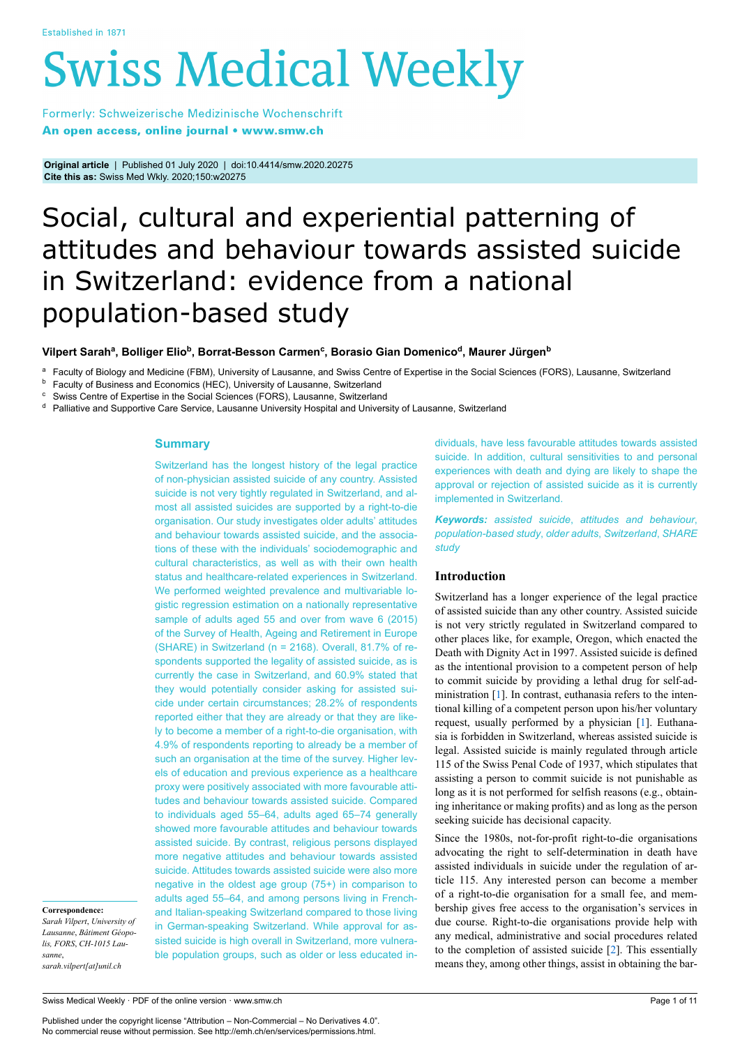# **Swiss Medical Weekly**

Formerly: Schweizerische Medizinische Wochenschrift An open access, online journal • www.smw.ch

**Original article** | Published 01 July 2020 | doi:10.4414/smw.2020.20275 **Cite this as:** Swiss Med Wkly. 2020;150:w20275

## Social, cultural and experiential patterning of attitudes and behaviour towards assisted suicide in Switzerland: evidence from a national population-based study

#### Vilpert Sarah<sup>a</sup>, Bolliger Elio<sup>b</sup>, Borrat-Besson Carmen<sup>c</sup>, Borasio Gian Domenico<sup>d</sup>, Maurer Jürgen<sup>b</sup>

Faculty of Biology and Medicine (FBM), University of Lausanne, and Swiss Centre of Expertise in the Social Sciences (FORS), Lausanne, Switzerland

**b** Faculty of Business and Economics (HEC), University of Lausanne, Switzerland

<sup>c</sup> Swiss Centre of Expertise in the Social Sciences (FORS), Lausanne, Switzerland

<sup>d</sup> Palliative and Supportive Care Service, Lausanne University Hospital and University of Lausanne, Switzerland

#### **Summary**

Switzerland has the longest history of the legal practice of non-physician assisted suicide of any country. Assisted suicide is not very tightly regulated in Switzerland, and almost all assisted suicides are supported by a right-to-die organisation. Our study investigates older adults' attitudes and behaviour towards assisted suicide, and the associations of these with the individuals' sociodemographic and cultural characteristics, as well as with their own health status and healthcare-related experiences in Switzerland. We performed weighted prevalence and multivariable logistic regression estimation on a nationally representative sample of adults aged 55 and over from wave 6 (2015) of the Survey of Health, Ageing and Retirement in Europe (SHARE) in Switzerland (n = 2168). Overall, 81.7% of respondents supported the legality of assisted suicide, as is currently the case in Switzerland, and 60.9% stated that they would potentially consider asking for assisted suicide under certain circumstances; 28.2% of respondents reported either that they are already or that they are likely to become a member of a right-to-die organisation, with 4.9% of respondents reporting to already be a member of such an organisation at the time of the survey. Higher levels of education and previous experience as a healthcare proxy were positively associated with more favourable attitudes and behaviour towards assisted suicide. Compared to individuals aged 55–64, adults aged 65–74 generally showed more favourable attitudes and behaviour towards assisted suicide. By contrast, religious persons displayed more negative attitudes and behaviour towards assisted suicide. Attitudes towards assisted suicide were also more negative in the oldest age group (75+) in comparison to adults aged 55–64, and among persons living in Frenchand Italian-speaking Switzerland compared to those living in German-speaking Switzerland. While approval for assisted suicide is high overall in Switzerland, more vulnerable population groups, such as older or less educated in-

*Sarah Vilpert*, *University of Lausanne*, *Bâtiment Géopolis, FORS*, *CH-1015 Lausanne*,

**Correspondence:**

*sarah.vilpert[at]unil.ch*

Swiss Medical Weekly · PDF of the online version · www.smw.ch

Published under the copyright license "Attribution – Non-Commercial – No Derivatives 4.0". No commercial reuse without permission. See http://emh.ch/en/services/permissions.html.

dividuals, have less favourable attitudes towards assisted suicide. In addition, cultural sensitivities to and personal experiences with death and dying are likely to shape the approval or rejection of assisted suicide as it is currently implemented in Switzerland.

*Keywords: assisted suicide*, *attitudes and behaviour*, *population-based study*, *older adults*, *Switzerland*, *SHARE study*

#### **Introduction**

Switzerland has a longer experience of the legal practice of assisted suicide than any other country. Assisted suicide is not very strictly regulated in Switzerland compared to other places like, for example, Oregon, which enacted the Death with Dignity Act in 1997. Assisted suicide is defined as the intentional provision to a competent person of help to commit suicide by providing a lethal drug for self-administration [[1](#page-8-0)]. In contrast, euthanasia refers to the intentional killing of a competent person upon his/her voluntary request, usually performed by a physician [\[1\]](#page-8-0). Euthanasia is forbidden in Switzerland, whereas assisted suicide is legal. Assisted suicide is mainly regulated through article 115 of the Swiss Penal Code of 1937, which stipulates that assisting a person to commit suicide is not punishable as long as it is not performed for selfish reasons (e.g., obtaining inheritance or making profits) and as long as the person seeking suicide has decisional capacity.

Since the 1980s, not-for-profit right-to-die organisations advocating the right to self-determination in death have assisted individuals in suicide under the regulation of article 115. Any interested person can become a member of a right-to-die organisation for a small fee, and membership gives free access to the organisation's services in due course. Right-to-die organisations provide help with any medical, administrative and social procedures related to the completion of assisted suicide [\[2\]](#page-8-1). This essentially means they, among other things, assist in obtaining the bar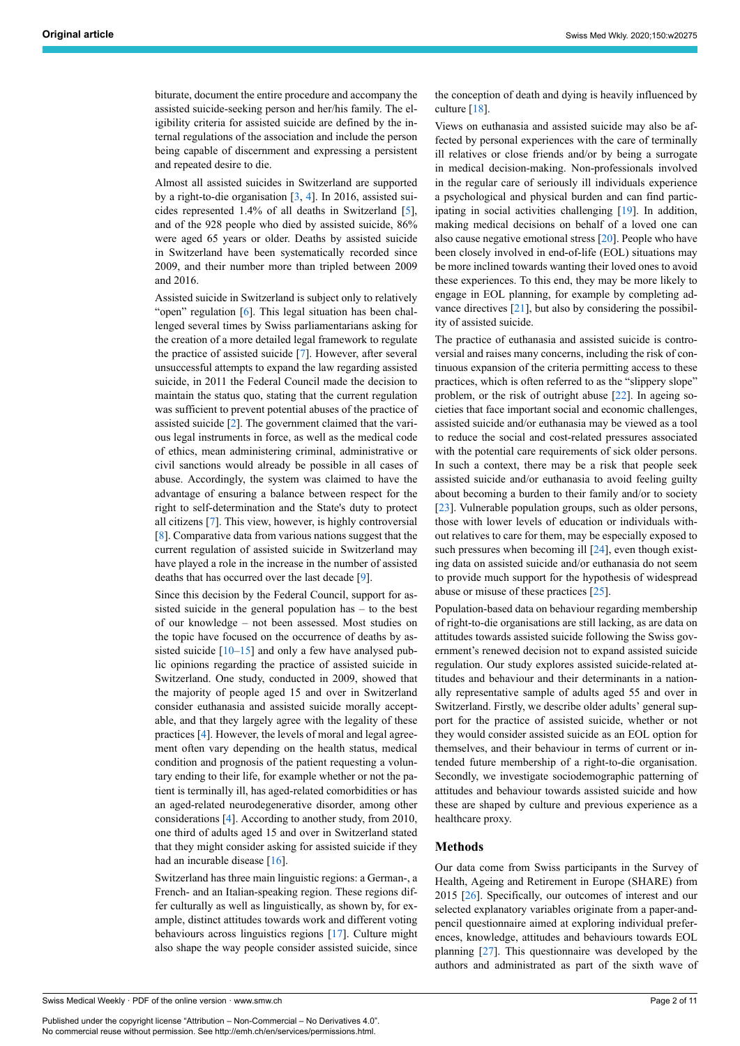biturate, document the entire procedure and accompany the assisted suicide-seeking person and her/his family. The eligibility criteria for assisted suicide are defined by the internal regulations of the association and include the person being capable of discernment and expressing a persistent and repeated desire to die.

Almost all assisted suicides in Switzerland are supported by a right-to-die organisation [[3](#page-8-2), [4\]](#page-8-3). In 2016, assisted suicides represented 1.4% of all deaths in Switzerland [\[5\]](#page-8-4), and of the 928 people who died by assisted suicide, 86% were aged 65 years or older. Deaths by assisted suicide in Switzerland have been systematically recorded since 2009, and their number more than tripled between 2009 and 2016.

Assisted suicide in Switzerland is subject only to relatively "open" regulation [[6](#page-8-5)]. This legal situation has been challenged several times by Swiss parliamentarians asking for the creation of a more detailed legal framework to regulate the practice of assisted suicide [\[7\]](#page-8-6). However, after several unsuccessful attempts to expand the law regarding assisted suicide, in 2011 the Federal Council made the decision to maintain the status quo, stating that the current regulation was sufficient to prevent potential abuses of the practice of assisted suicide [[2](#page-8-1)]. The government claimed that the various legal instruments in force, as well as the medical code of ethics, mean administering criminal, administrative or civil sanctions would already be possible in all cases of abuse. Accordingly, the system was claimed to have the advantage of ensuring a balance between respect for the right to self-determination and the State's duty to protect all citizens [[7](#page-8-6)]. This view, however, is highly controversial [[8](#page-8-7)]. Comparative data from various nations suggest that the current regulation of assisted suicide in Switzerland may have played a role in the increase in the number of assisted deaths that has occurred over the last decade [\[9\]](#page-8-8).

Since this decision by the Federal Council, support for assisted suicide in the general population has – to the best of our knowledge – not been assessed. Most studies on the topic have focused on the occurrence of deaths by assisted suicide  $[10-15]$  $[10-15]$  $[10-15]$  and only a few have analysed public opinions regarding the practice of assisted suicide in Switzerland. One study, conducted in 2009, showed that the majority of people aged 15 and over in Switzerland consider euthanasia and assisted suicide morally acceptable, and that they largely agree with the legality of these practices [[4](#page-8-3)]. However, the levels of moral and legal agreement often vary depending on the health status, medical condition and prognosis of the patient requesting a voluntary ending to their life, for example whether or not the patient is terminally ill, has aged-related comorbidities or has an aged-related neurodegenerative disorder, among other considerations [[4](#page-8-3)]. According to another study, from 2010, one third of adults aged 15 and over in Switzerland stated that they might consider asking for assisted suicide if they had an incurable disease [[16\]](#page-8-11).

Switzerland has three main linguistic regions: a German-, a French- and an Italian-speaking region. These regions differ culturally as well as linguistically, as shown by, for example, distinct attitudes towards work and different voting behaviours across linguistics regions [[17\]](#page-8-12). Culture might also shape the way people consider assisted suicide, since

Swiss Medical Weekly · PDF of the online version · www.smw.ch

Published under the copyright license "Attribution – Non-Commercial – No Derivatives 4.0". No commercial reuse without permission. See http://emh.ch/en/services/permissions.html.

the conception of death and dying is heavily influenced by culture [\[18](#page-8-13)].

Views on euthanasia and assisted suicide may also be affected by personal experiences with the care of terminally ill relatives or close friends and/or by being a surrogate in medical decision-making. Non-professionals involved in the regular care of seriously ill individuals experience a psychological and physical burden and can find participating in social activities challenging [[19\]](#page-8-14). In addition, making medical decisions on behalf of a loved one can also cause negative emotional stress [\[20](#page-8-15)]. People who have been closely involved in end-of-life (EOL) situations may be more inclined towards wanting their loved ones to avoid these experiences. To this end, they may be more likely to engage in EOL planning, for example by completing advance directives [[21\]](#page-8-16), but also by considering the possibility of assisted suicide.

The practice of euthanasia and assisted suicide is controversial and raises many concerns, including the risk of continuous expansion of the criteria permitting access to these practices, which is often referred to as the "slippery slope" problem, or the risk of outright abuse [\[22](#page-8-17)]. In ageing societies that face important social and economic challenges, assisted suicide and/or euthanasia may be viewed as a tool to reduce the social and cost-related pressures associated with the potential care requirements of sick older persons. In such a context, there may be a risk that people seek assisted suicide and/or euthanasia to avoid feeling guilty about becoming a burden to their family and/or to society [\[23](#page-8-18)]. Vulnerable population groups, such as older persons, those with lower levels of education or individuals without relatives to care for them, may be especially exposed to such pressures when becoming ill [[24\]](#page-8-19), even though existing data on assisted suicide and/or euthanasia do not seem to provide much support for the hypothesis of widespread abuse or misuse of these practices [[25\]](#page-8-20).

Population-based data on behaviour regarding membership of right-to-die organisations are still lacking, as are data on attitudes towards assisted suicide following the Swiss government's renewed decision not to expand assisted suicide regulation. Our study explores assisted suicide-related attitudes and behaviour and their determinants in a nationally representative sample of adults aged 55 and over in Switzerland. Firstly, we describe older adults' general support for the practice of assisted suicide, whether or not they would consider assisted suicide as an EOL option for themselves, and their behaviour in terms of current or intended future membership of a right-to-die organisation. Secondly, we investigate sociodemographic patterning of attitudes and behaviour towards assisted suicide and how these are shaped by culture and previous experience as a healthcare proxy.

#### **Methods**

Our data come from Swiss participants in the Survey of Health, Ageing and Retirement in Europe (SHARE) from 2015 [\[26](#page-8-21)]. Specifically, our outcomes of interest and our selected explanatory variables originate from a paper-andpencil questionnaire aimed at exploring individual preferences, knowledge, attitudes and behaviours towards EOL planning [\[27](#page-8-22)]. This questionnaire was developed by the authors and administrated as part of the sixth wave of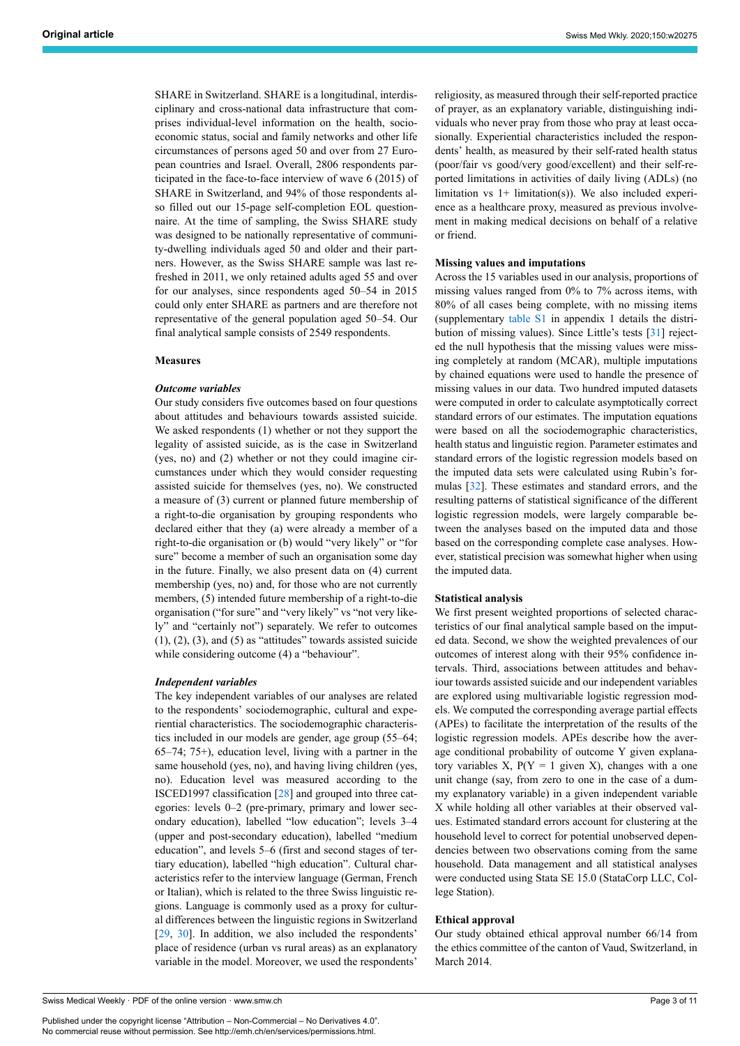SHARE in Switzerland. SHARE is a longitudinal, interdisciplinary and cross-national data infrastructure that comprises individual-level information on the health, socioeconomic status, social and family networks and other life circumstances of persons aged 50 and over from 27 European countries and Israel. Overall, 2806 respondents participated in the face-to-face interview of wave 6 (2015) of SHARE in Switzerland, and 94% of those respondents also filled out our 15-page self-completion EOL questionnaire. At the time of sampling, the Swiss SHARE study was designed to be nationally representative of community-dwelling individuals aged 50 and older and their partners. However, as the Swiss SHARE sample was last refreshed in 2011, we only retained adults aged 55 and over for our analyses, since respondents aged 50–54 in 2015 could only enter SHARE as partners and are therefore not representative of the general population aged 50–54. Our final analytical sample consists of 2549 respondents.

#### **Measures**

#### *Outcome variables*

Our study considers five outcomes based on four questions about attitudes and behaviours towards assisted suicide. We asked respondents (1) whether or not they support the legality of assisted suicide, as is the case in Switzerland (yes, no) and (2) whether or not they could imagine circumstances under which they would consider requesting assisted suicide for themselves (yes, no). We constructed a measure of (3) current or planned future membership of a right-to-die organisation by grouping respondents who declared either that they (a) were already a member of a right-to-die organisation or (b) would "very likely" or "for sure" become a member of such an organisation some day in the future. Finally, we also present data on (4) current membership (yes, no) and, for those who are not currently members, (5) intended future membership of a right-to-die organisation ("for sure" and "very likely" vs "not very likely" and "certainly not") separately. We refer to outcomes  $(1)$ ,  $(2)$ ,  $(3)$ , and  $(5)$  as "attitudes" towards assisted suicide while considering outcome (4) a "behaviour".

#### *Independent variables*

The key independent variables of our analyses are related to the respondents' sociodemographic, cultural and experiential characteristics. The sociodemographic characteristics included in our models are gender, age group (55–64; 65–74; 75+), education level, living with a partner in the same household (yes, no), and having living children (yes, no). Education level was measured according to the ISCED1997 classification [[28\]](#page-8-23) and grouped into three categories: levels 0–2 (pre-primary, primary and lower secondary education), labelled "low education"; levels 3–4 (upper and post-secondary education), labelled "medium education", and levels 5–6 (first and second stages of tertiary education), labelled "high education". Cultural characteristics refer to the interview language (German, French or Italian), which is related to the three Swiss linguistic regions. Language is commonly used as a proxy for cultural differences between the linguistic regions in Switzerland [[29,](#page-8-24) [30\]](#page-8-25). In addition, we also included the respondents' place of residence (urban vs rural areas) as an explanatory variable in the model. Moreover, we used the respondents'

religiosity, as measured through their self-reported practice of prayer, as an explanatory variable, distinguishing individuals who never pray from those who pray at least occasionally. Experiential characteristics included the respondents' health, as measured by their self-rated health status (poor/fair vs good/very good/excellent) and their self-reported limitations in activities of daily living (ADLs) (no limitation vs 1+ limitation(s)). We also included experience as a healthcare proxy, measured as previous involvement in making medical decisions on behalf of a relative or friend.

#### **Missing values and imputations**

Across the 15 variables used in our analysis, proportions of missing values ranged from 0% to 7% across items, with 80% of all cases being complete, with no missing items (supplementary [table S1](#page-10-0) in appendix 1 details the distribution of missing values). Since Little's tests [\[31](#page-8-26)] rejected the null hypothesis that the missing values were missing completely at random (MCAR), multiple imputations by chained equations were used to handle the presence of missing values in our data. Two hundred imputed datasets were computed in order to calculate asymptotically correct standard errors of our estimates. The imputation equations were based on all the sociodemographic characteristics, health status and linguistic region. Parameter estimates and standard errors of the logistic regression models based on the imputed data sets were calculated using Rubin's formulas [[32\]](#page-8-27). These estimates and standard errors, and the resulting patterns of statistical significance of the different logistic regression models, were largely comparable between the analyses based on the imputed data and those based on the corresponding complete case analyses. However, statistical precision was somewhat higher when using the imputed data.

#### **Statistical analysis**

We first present weighted proportions of selected characteristics of our final analytical sample based on the imputed data. Second, we show the weighted prevalences of our outcomes of interest along with their 95% confidence intervals. Third, associations between attitudes and behaviour towards assisted suicide and our independent variables are explored using multivariable logistic regression models. We computed the corresponding average partial effects (APEs) to facilitate the interpretation of the results of the logistic regression models. APEs describe how the average conditional probability of outcome Y given explanatory variables X,  $P(Y = 1$  given X), changes with a one unit change (say, from zero to one in the case of a dummy explanatory variable) in a given independent variable X while holding all other variables at their observed values. Estimated standard errors account for clustering at the household level to correct for potential unobserved dependencies between two observations coming from the same household. Data management and all statistical analyses were conducted using Stata SE 15.0 (StataCorp LLC, College Station).

#### **Ethical approval**

Our study obtained ethical approval number 66/14 from the ethics committee of the canton of Vaud, Switzerland, in March 2014.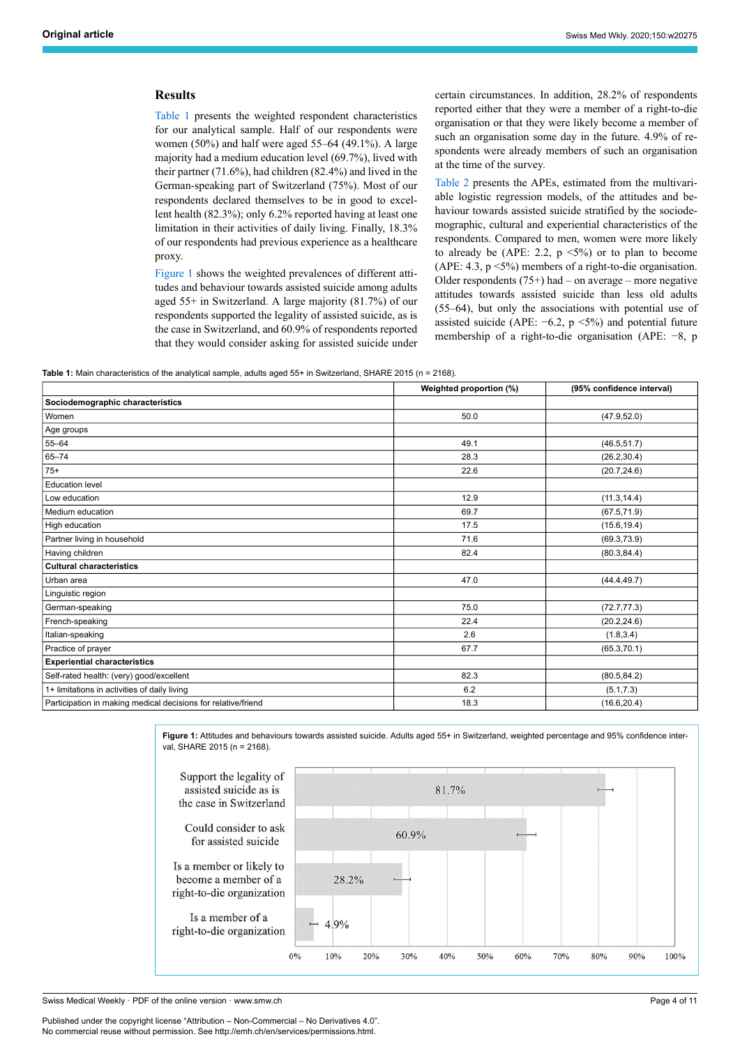#### **Results**

[Table 1](#page-3-0) presents the weighted respondent characteristics for our analytical sample. Half of our respondents were women (50%) and half were aged 55–64 (49.1%). A large majority had a medium education level (69.7%), lived with their partner (71.6%), had children (82.4%) and lived in the German-speaking part of Switzerland (75%). Most of our respondents declared themselves to be in good to excellent health (82.3%); only 6.2% reported having at least one limitation in their activities of daily living. Finally, 18.3% of our respondents had previous experience as a healthcare proxy.

[Figure 1](#page-3-1) shows the weighted prevalences of different attitudes and behaviour towards assisted suicide among adults aged 55+ in Switzerland. A large majority (81.7%) of our respondents supported the legality of assisted suicide, as is the case in Switzerland, and 60.9% of respondents reported that they would consider asking for assisted suicide under certain circumstances. In addition, 28.2% of respondents reported either that they were a member of a right-to-die organisation or that they were likely become a member of such an organisation some day in the future. 4.9% of respondents were already members of such an organisation at the time of the survey.

[Table 2](#page-4-0) presents the APEs, estimated from the multivariable logistic regression models, of the attitudes and behaviour towards assisted suicide stratified by the sociodemographic, cultural and experiential characteristics of the respondents. Compared to men, women were more likely to already be (APE: 2.2,  $p \le 5\%$ ) or to plan to become (APE: 4.3,  $p \le 5\%$ ) members of a right-to-die organisation. Older respondents  $(75+)$  had – on average – more negative attitudes towards assisted suicide than less old adults (55–64), but only the associations with potential use of assisted suicide (APE:  $-6.2$ , p <5%) and potential future membership of a right-to-die organisation (APE: −8, p

<span id="page-3-0"></span>

|                                                               | Weighted proportion (%) | (95% confidence interval) |
|---------------------------------------------------------------|-------------------------|---------------------------|
| Sociodemographic characteristics                              |                         |                           |
| Women                                                         | 50.0                    | (47.9, 52.0)              |
| Age groups                                                    |                         |                           |
| $55 - 64$                                                     | 49.1                    | (46.5, 51.7)              |
| $65 - 74$                                                     | 28.3                    | (26.2, 30.4)              |
| $75+$                                                         | 22.6                    | (20.7, 24.6)              |
| <b>Education level</b>                                        |                         |                           |
| Low education                                                 | 12.9                    | (11.3, 14.4)              |
| Medium education                                              | 69.7                    | (67.5, 71.9)              |
| High education                                                | 17.5                    | (15.6, 19.4)              |
| Partner living in household                                   | 71.6                    | (69.3, 73.9)              |
| Having children                                               | 82.4                    | (80.3, 84.4)              |
| <b>Cultural characteristics</b>                               |                         |                           |
| Urban area                                                    | 47.0                    | (44.4, 49.7)              |
| Linguistic region                                             |                         |                           |
| German-speaking                                               | 75.0                    | (72.7, 77.3)              |
| French-speaking                                               | 22.4                    | (20.2, 24.6)              |
| Italian-speaking                                              | 2.6                     | (1.8, 3.4)                |
| Practice of prayer                                            | 67.7                    | (65.3, 70.1)              |
| <b>Experiential characteristics</b>                           |                         |                           |
| Self-rated health: (very) good/excellent                      | 82.3                    | (80.5, 84.2)              |
| 1+ limitations in activities of daily living                  | 6.2                     | (5.1, 7.3)                |
| Participation in making medical decisions for relative/friend | 18.3                    | (16.6, 20.4)              |

<span id="page-3-1"></span>

Swiss Medical Weekly · PDF of the online version · www.smw.ch

Published under the copyright license "Attribution – Non-Commercial – No Derivatives 4.0". No commercial reuse without permission. See http://emh.ch/en/services/permissions.html.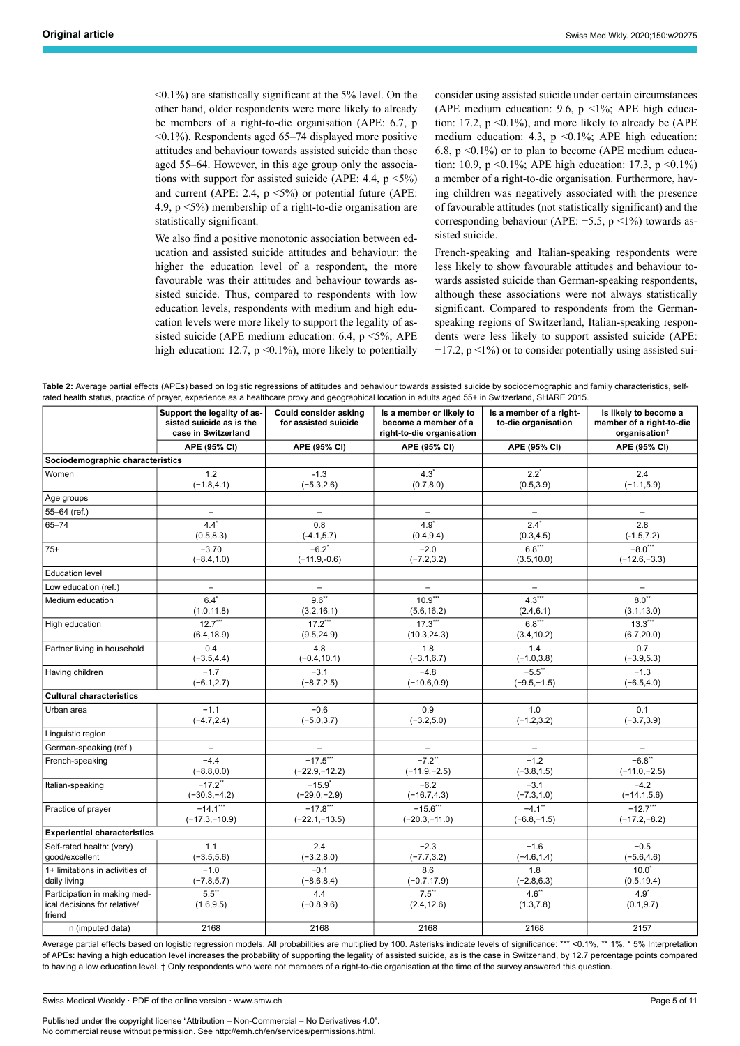$\leq 0.1\%$ ) are statistically significant at the 5% level. On the other hand, older respondents were more likely to already be members of a right-to-die organisation (APE: 6.7, p <0.1%). Respondents aged 65–74 displayed more positive attitudes and behaviour towards assisted suicide than those aged 55–64. However, in this age group only the associations with support for assisted suicide (APE: 4.4, p <5%) and current (APE: 2.4,  $p \le 5\%$ ) or potential future (APE: 4.9, p <5%) membership of a right-to-die organisation are statistically significant.

We also find a positive monotonic association between education and assisted suicide attitudes and behaviour: the higher the education level of a respondent, the more favourable was their attitudes and behaviour towards assisted suicide. Thus, compared to respondents with low education levels, respondents with medium and high education levels were more likely to support the legality of assisted suicide (APE medium education: 6.4,  $p \le 5\%$ ; APE high education: 12.7,  $p \le 0.1\%$ ), more likely to potentially

consider using assisted suicide under certain circumstances (APE medium education: 9.6,  $p$  <1%; APE high education: 17.2,  $p \le 0.1\%$ ), and more likely to already be (APE medium education: 4.3,  $p \le 0.1\%$ ; APE high education: 6.8,  $p \le 0.1\%$ ) or to plan to become (APE medium education: 10.9, p <0.1%; APE high education: 17.3, p <0.1%) a member of a right-to-die organisation. Furthermore, having children was negatively associated with the presence of favourable attitudes (not statistically significant) and the corresponding behaviour (APE: −5.5, p <1%) towards assisted suicide.

French-speaking and Italian-speaking respondents were less likely to show favourable attitudes and behaviour towards assisted suicide than German-speaking respondents, although these associations were not always statistically significant. Compared to respondents from the Germanspeaking regions of Switzerland, Italian-speaking respondents were less likely to support assisted suicide (APE:  $-17.2$ , p <1%) or to consider potentially using assisted sui-

<span id="page-4-0"></span>

| Table 2: Average partial effects (APEs) based on logistic regressions of attitudes and behaviour towards assisted suicide by sociodemographic and family characteristics, self- |
|---------------------------------------------------------------------------------------------------------------------------------------------------------------------------------|
| rated health status, practice of prayer, experience as a healthcare proxy and geographical location in adults aged 55+ in Switzerland, SHARE 2015.                              |

|                                                                        | Support the legality of as-<br>sisted suicide as is the<br>case in Switzerland | Could consider asking<br>for assisted suicide | Is a member or likely to<br>become a member of a<br>right-to-die organisation | Is a member of a right-<br>to-die organisation | Is likely to become a<br>member of a right-to-die<br>organisation <sup>†</sup> |
|------------------------------------------------------------------------|--------------------------------------------------------------------------------|-----------------------------------------------|-------------------------------------------------------------------------------|------------------------------------------------|--------------------------------------------------------------------------------|
|                                                                        | APE (95% CI)                                                                   | APE (95% CI)                                  | APE (95% CI)                                                                  | APE (95% CI)                                   | APE (95% CI)                                                                   |
| Sociodemographic characteristics                                       |                                                                                |                                               |                                                                               |                                                |                                                                                |
| Women                                                                  | 1.2                                                                            | $-1.3$                                        | $4.3^{\circ}$                                                                 | $2.2^*$                                        | 2.4                                                                            |
|                                                                        | $(-1.8, 4.1)$                                                                  | $(-5.3, 2.6)$                                 | (0.7, 8.0)                                                                    | (0.5, 3.9)                                     | $(-1.1, 5.9)$                                                                  |
| Age groups                                                             |                                                                                |                                               |                                                                               |                                                |                                                                                |
| 55-64 (ref.)                                                           | $\overline{a}$                                                                 |                                               |                                                                               |                                                |                                                                                |
| $65 - 74$                                                              | $4.4^{\star}$                                                                  | 0.8                                           | $4.9^{\circ}$                                                                 | $2.4$ <sup>*</sup>                             | 2.8                                                                            |
|                                                                        | (0.5, 8.3)                                                                     | $(-4.1, 5.7)$                                 | (0.4, 9.4)                                                                    | (0.3, 4.5)                                     | $(-1.5, 7.2)$                                                                  |
| $75+$                                                                  | $-3.70$                                                                        | $-6.2$ <sup>*</sup>                           | $-2.0$                                                                        | $6.8***$                                       | $-8.0***$                                                                      |
|                                                                        | $(-8.4, 1.0)$                                                                  | $(-11.9,-0.6)$                                | $(-7.2, 3.2)$                                                                 | (3.5, 10.0)                                    | $(-12.6,-3.3)$                                                                 |
| <b>Education level</b>                                                 |                                                                                |                                               |                                                                               |                                                |                                                                                |
| Low education (ref.)                                                   | $\overline{\phantom{a}}$                                                       | $-$                                           | $\overline{\phantom{0}}$                                                      | $\qquad \qquad -$                              | $-$                                                                            |
| Medium education                                                       | $6.4^{\star}$                                                                  | $9.6^{**}$                                    | $10.9***$                                                                     | $4.3***$                                       | $8.0**$                                                                        |
|                                                                        | (1.0, 11.8)                                                                    | (3.2, 16.1)                                   | (5.6, 16.2)                                                                   | (2.4, 6.1)                                     | (3.1, 13.0)                                                                    |
| High education                                                         | $12.7***$                                                                      | $17.2***$                                     | $17.3***$                                                                     | $6.8***$                                       | $13.3***$                                                                      |
|                                                                        | (6.4, 18.9)                                                                    | (9.5, 24.9)                                   | (10.3, 24.3)                                                                  | (3.4, 10.2)                                    | (6.7, 20.0)                                                                    |
| Partner living in household                                            | 0.4                                                                            | 4.8                                           | 1.8                                                                           | 1.4                                            | 0.7                                                                            |
|                                                                        | $(-3.5, 4.4)$                                                                  | $(-0.4, 10.1)$                                | $(-3.1, 6.7)$                                                                 | $(-1.0, 3.8)$                                  | $(-3.9,5.3)$                                                                   |
| Having children                                                        | $-1.7$                                                                         | $-3.1$                                        | $-4.8$                                                                        | $-5.5$ **                                      | $-1.3$                                                                         |
|                                                                        | $(-6.1, 2.7)$                                                                  | $(-8.7, 2.5)$                                 | $(-10.6, 0.9)$                                                                | $(-9.5,-1.5)$                                  | $(-6.5, 4.0)$                                                                  |
| <b>Cultural characteristics</b>                                        |                                                                                |                                               |                                                                               |                                                |                                                                                |
| Urban area                                                             | $-1.1$                                                                         | $-0.6$                                        | 0.9                                                                           | 1.0                                            | 0.1                                                                            |
|                                                                        | $(-4.7, 2.4)$                                                                  | $(-5.0, 3.7)$                                 | $(-3.2, 5.0)$                                                                 | $(-1.2, 3.2)$                                  | $(-3.7, 3.9)$                                                                  |
| Linguistic region                                                      |                                                                                |                                               |                                                                               |                                                |                                                                                |
| German-speaking (ref.)                                                 | $\overline{a}$                                                                 |                                               |                                                                               |                                                | $\overline{\phantom{0}}$                                                       |
| French-speaking                                                        | $-4.4$                                                                         | $-17.5***$                                    | $-7.2$ <sup>**</sup>                                                          | $-1.2$                                         | $-6.8$ **                                                                      |
|                                                                        | $(-8.8, 0.0)$                                                                  | $(-22.9,-12.2)$                               | $(-11.9,-2.5)$                                                                | $(-3.8, 1.5)$                                  | $(-11.0,-2.5)$                                                                 |
| Italian-speaking                                                       | $-17.2$ <sup>**</sup>                                                          | $-15.9^{*}$                                   | $-6.2$                                                                        | $-3.1$                                         | $-4.2$                                                                         |
|                                                                        | $(-30.3,-4.2)$                                                                 | $(-29.0,-2.9)$                                | $(-16.7, 4.3)$                                                                | $(-7.3, 1.0)$                                  | $(-14.1, 5.6)$                                                                 |
| Practice of prayer                                                     | $-14.1***$                                                                     | $-17.8***$                                    | $-15.6***$                                                                    | $-4.1$ <sup>**</sup>                           | $-12.7***$                                                                     |
|                                                                        | $(-17.3,-10.9)$                                                                | $(-22.1,-13.5)$                               | $(-20.3,-11.0)$                                                               | $(-6.8,-1.5)$                                  | $(-17.2,-8.2)$                                                                 |
| <b>Experiential characteristics</b>                                    |                                                                                |                                               |                                                                               |                                                |                                                                                |
| Self-rated health: (very)                                              | 1.1                                                                            | 2.4                                           | $-2.3$                                                                        | $-1.6$                                         | $-0.5$                                                                         |
| good/excellent                                                         | $(-3.5, 5.6)$                                                                  | $(-3.2, 8.0)$                                 | $(-7.7, 3.2)$                                                                 | $(-4.6, 1.4)$                                  | $(-5.6, 4.6)$                                                                  |
| 1+ limitations in activities of                                        | $-1.0$                                                                         | $-0.1$                                        | 8.6                                                                           | 1.8                                            | $10.0*$                                                                        |
| daily living                                                           | $(-7.8, 5.7)$                                                                  | $(-8.6, 8.4)$                                 | $(-0.7, 17.9)$                                                                | $(-2.8, 6.3)$                                  | (0.5, 19.4)                                                                    |
| Participation in making med-<br>ical decisions for relative/<br>friend | $5.5***$<br>(1.6, 9.5)                                                         | 4.4<br>$(-0.8, 9.6)$                          | $7.5^{\ast\ast}$<br>(2.4, 12.6)                                               | $4.6$ **<br>(1.3, 7.8)                         | $4.9^{\star}$<br>(0.1, 9.7)                                                    |
| n (imputed data)                                                       | 2168                                                                           | 2168                                          | 2168                                                                          | 2168                                           | 2157                                                                           |

Average partial effects based on logistic regression models. All probabilities are multiplied by 100. Asterisks indicate levels of significance: \*\*\* <0.1%, \*\* 1%, \* 5% Interpretation of APEs: having a high education level increases the probability of supporting the legality of assisted suicide, as is the case in Switzerland, by 12.7 percentage points compared to having a low education level. † Only respondents who were not members of a right-to-die organisation at the time of the survey answered this question.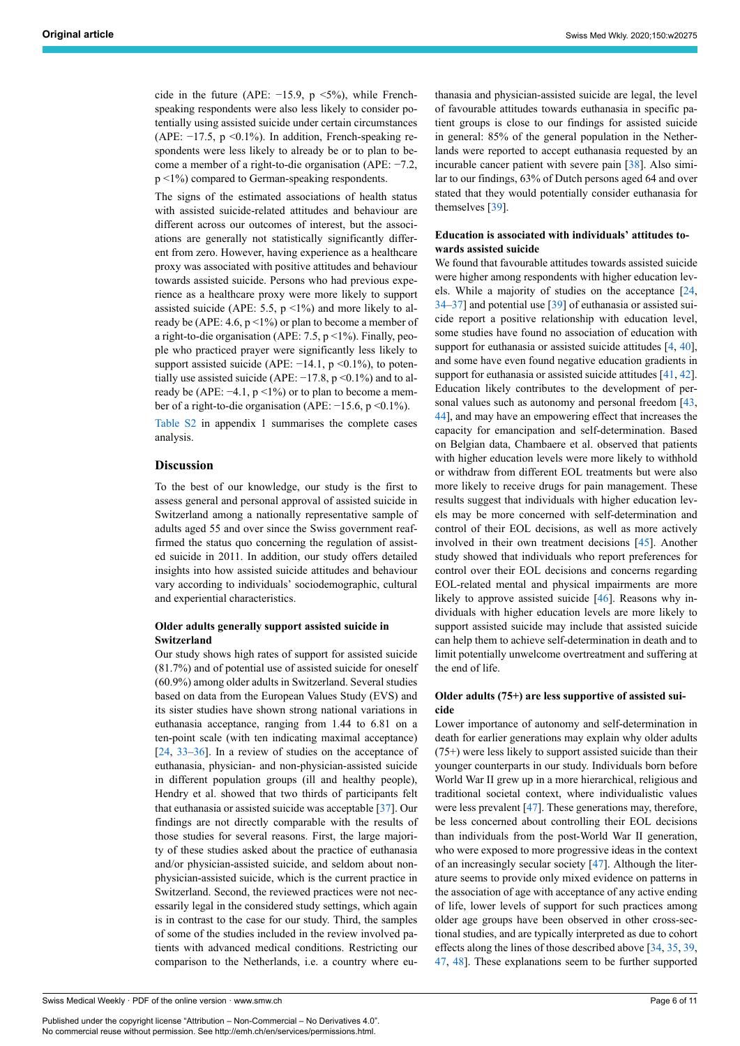cide in the future (APE:  $-15.9$ , p <5%), while Frenchspeaking respondents were also less likely to consider potentially using assisted suicide under certain circumstances (APE: −17.5, p <0.1%). In addition, French-speaking respondents were less likely to already be or to plan to become a member of a right-to-die organisation (APE: −7.2, p <1%) compared to German-speaking respondents.

The signs of the estimated associations of health status with assisted suicide-related attitudes and behaviour are different across our outcomes of interest, but the associations are generally not statistically significantly different from zero. However, having experience as a healthcare proxy was associated with positive attitudes and behaviour towards assisted suicide. Persons who had previous experience as a healthcare proxy were more likely to support assisted suicide (APE: 5.5,  $p \le 1\%$ ) and more likely to already be (APE: 4.6,  $p < 1\%$ ) or plan to become a member of a right-to-die organisation (APE: 7.5, p <1%). Finally, people who practiced prayer were significantly less likely to support assisted suicide (APE: −14.1, p <0.1%), to potentially use assisted suicide (APE:  $-17.8$ , p < 0.1%) and to already be (APE:  $-4.1$ , p <1%) or to plan to become a member of a right-to-die organisation (APE: −15.6, p <0.1%).

[Table S2](#page-10-1) in appendix 1 summarises the complete cases analysis.

#### **Discussion**

To the best of our knowledge, our study is the first to assess general and personal approval of assisted suicide in Switzerland among a nationally representative sample of adults aged 55 and over since the Swiss government reaffirmed the status quo concerning the regulation of assisted suicide in 2011. In addition, our study offers detailed insights into how assisted suicide attitudes and behaviour vary according to individuals' sociodemographic, cultural and experiential characteristics.

#### **Older adults generally support assisted suicide in Switzerland**

Our study shows high rates of support for assisted suicide (81.7%) and of potential use of assisted suicide for oneself (60.9%) among older adults in Switzerland. Several studies based on data from the European Values Study (EVS) and its sister studies have shown strong national variations in euthanasia acceptance, ranging from 1.44 to 6.81 on a ten-point scale (with ten indicating maximal acceptance) [[24,](#page-8-19) [33](#page-8-28)–[36\]](#page-8-29). In a review of studies on the acceptance of euthanasia, physician- and non-physician-assisted suicide in different population groups (ill and healthy people), Hendry et al. showed that two thirds of participants felt that euthanasia or assisted suicide was acceptable [[37\]](#page-8-30). Our findings are not directly comparable with the results of those studies for several reasons. First, the large majority of these studies asked about the practice of euthanasia and/or physician-assisted suicide, and seldom about nonphysician-assisted suicide, which is the current practice in Switzerland. Second, the reviewed practices were not necessarily legal in the considered study settings, which again is in contrast to the case for our study. Third, the samples of some of the studies included in the review involved patients with advanced medical conditions. Restricting our comparison to the Netherlands, i.e. a country where eu-

Published under the copyright license "Attribution – Non-Commercial – No Derivatives 4.0". No commercial reuse without permission. See http://emh.ch/en/services/permissions.html.

thanasia and physician-assisted suicide are legal, the level of favourable attitudes towards euthanasia in specific patient groups is close to our findings for assisted suicide in general: 85% of the general population in the Netherlands were reported to accept euthanasia requested by an incurable cancer patient with severe pain [[38\]](#page-8-31). Also similar to our findings, 63% of Dutch persons aged 64 and over stated that they would potentially consider euthanasia for themselves [\[39](#page-8-32)].

#### **Education is associated with individuals' attitudes towards assisted suicide**

We found that favourable attitudes towards assisted suicide were higher among respondents with higher education levels. While a majority of studies on the acceptance [\[24](#page-8-19), [34](#page-8-33)–[37\]](#page-8-30) and potential use [[39\]](#page-8-32) of euthanasia or assisted suicide report a positive relationship with education level, some studies have found no association of education with support for euthanasia or assisted suicide attitudes [[4](#page-8-3), [40](#page-8-34)], and some have even found negative education gradients in support for euthanasia or assisted suicide attitudes [[41,](#page-8-35) [42](#page-9-0)]. Education likely contributes to the development of personal values such as autonomy and personal freedom [\[43](#page-9-1), [44](#page-9-2)], and may have an empowering effect that increases the capacity for emancipation and self-determination. Based on Belgian data, Chambaere et al. observed that patients with higher education levels were more likely to withhold or withdraw from different EOL treatments but were also more likely to receive drugs for pain management. These results suggest that individuals with higher education levels may be more concerned with self-determination and control of their EOL decisions, as well as more actively involved in their own treatment decisions [[45\]](#page-9-3). Another study showed that individuals who report preferences for control over their EOL decisions and concerns regarding EOL-related mental and physical impairments are more likely to approve assisted suicide [[46\]](#page-9-4). Reasons why individuals with higher education levels are more likely to support assisted suicide may include that assisted suicide can help them to achieve self-determination in death and to limit potentially unwelcome overtreatment and suffering at the end of life.

#### **Older adults (75+) are less supportive of assisted suicide**

Lower importance of autonomy and self-determination in death for earlier generations may explain why older adults (75+) were less likely to support assisted suicide than their younger counterparts in our study. Individuals born before World War II grew up in a more hierarchical, religious and traditional societal context, where individualistic values were less prevalent [[47\]](#page-9-5). These generations may, therefore, be less concerned about controlling their EOL decisions than individuals from the post-World War II generation, who were exposed to more progressive ideas in the context of an increasingly secular society [[47\]](#page-9-5). Although the literature seems to provide only mixed evidence on patterns in the association of age with acceptance of any active ending of life, lower levels of support for such practices among older age groups have been observed in other cross-sectional studies, and are typically interpreted as due to cohort effects along the lines of those described above [\[34](#page-8-33), [35,](#page-8-36) [39](#page-8-32), [47](#page-9-5), [48](#page-9-6)]. These explanations seem to be further supported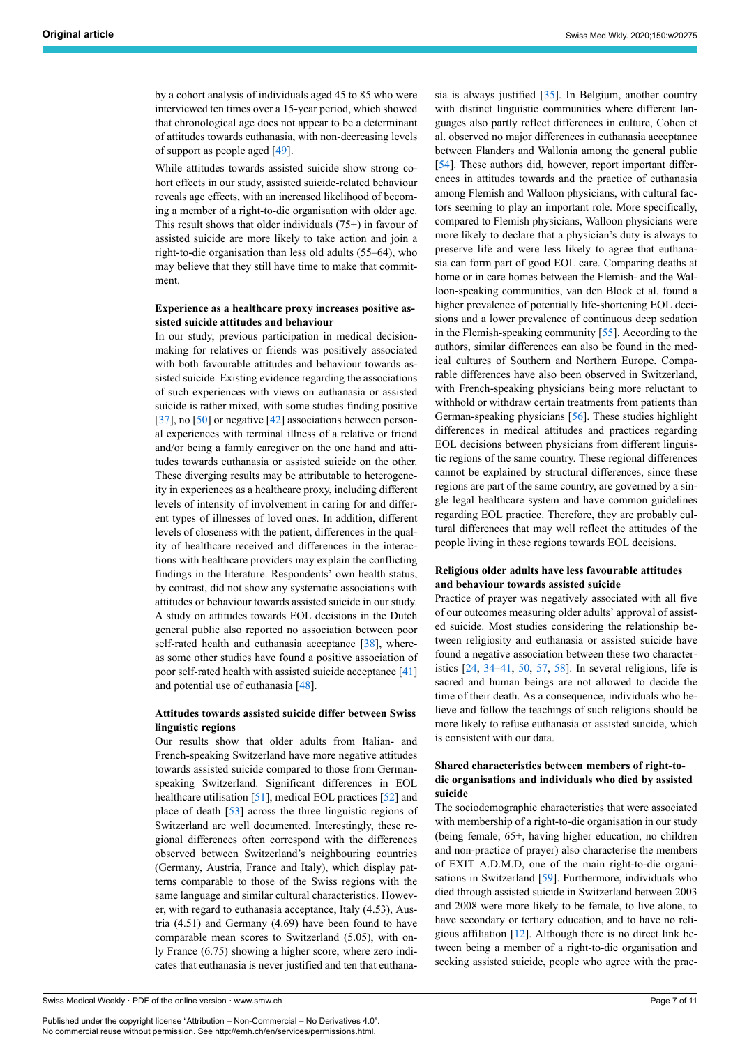by a cohort analysis of individuals aged 45 to 85 who were interviewed ten times over a 15-year period, which showed that chronological age does not appear to be a determinant of attitudes towards euthanasia, with non-decreasing levels of support as people aged [[49\]](#page-9-7).

While attitudes towards assisted suicide show strong cohort effects in our study, assisted suicide-related behaviour reveals age effects, with an increased likelihood of becoming a member of a right-to-die organisation with older age. This result shows that older individuals (75+) in favour of assisted suicide are more likely to take action and join a right-to-die organisation than less old adults (55–64), who may believe that they still have time to make that commitment.

#### **Experience as a healthcare proxy increases positive assisted suicide attitudes and behaviour**

In our study, previous participation in medical decisionmaking for relatives or friends was positively associated with both favourable attitudes and behaviour towards assisted suicide. Existing evidence regarding the associations of such experiences with views on euthanasia or assisted suicide is rather mixed, with some studies finding positive [[37\]](#page-8-30), no [\[50](#page-9-8)] or negative [\[42](#page-9-0)] associations between personal experiences with terminal illness of a relative or friend and/or being a family caregiver on the one hand and attitudes towards euthanasia or assisted suicide on the other. These diverging results may be attributable to heterogeneity in experiences as a healthcare proxy, including different levels of intensity of involvement in caring for and different types of illnesses of loved ones. In addition, different levels of closeness with the patient, differences in the quality of healthcare received and differences in the interactions with healthcare providers may explain the conflicting findings in the literature. Respondents' own health status, by contrast, did not show any systematic associations with attitudes or behaviour towards assisted suicide in our study. A study on attitudes towards EOL decisions in the Dutch general public also reported no association between poor self-rated health and euthanasia acceptance  $[38]$  $[38]$ , whereas some other studies have found a positive association of poor self-rated health with assisted suicide acceptance [[41\]](#page-8-35) and potential use of euthanasia [[48\]](#page-9-6).

#### **Attitudes towards assisted suicide differ between Swiss linguistic regions**

Our results show that older adults from Italian- and French-speaking Switzerland have more negative attitudes towards assisted suicide compared to those from Germanspeaking Switzerland. Significant differences in EOL healthcare utilisation [[51\]](#page-9-9), medical EOL practices [[52\]](#page-9-10) and place of death [\[53](#page-9-11)] across the three linguistic regions of Switzerland are well documented. Interestingly, these regional differences often correspond with the differences observed between Switzerland's neighbouring countries (Germany, Austria, France and Italy), which display patterns comparable to those of the Swiss regions with the same language and similar cultural characteristics. However, with regard to euthanasia acceptance, Italy (4.53), Austria (4.51) and Germany (4.69) have been found to have comparable mean scores to Switzerland (5.05), with only France (6.75) showing a higher score, where zero indicates that euthanasia is never justified and ten that euthana-

Published under the copyright license "Attribution – Non-Commercial – No Derivatives 4.0". No commercial reuse without permission. See http://emh.ch/en/services/permissions.html.

sia is always justified [[35\]](#page-8-36). In Belgium, another country with distinct linguistic communities where different languages also partly reflect differences in culture, Cohen et al. observed no major differences in euthanasia acceptance between Flanders and Wallonia among the general public [\[54](#page-9-1)]. These authors did, however, report important differences in attitudes towards and the practice of euthanasia among Flemish and Walloon physicians, with cultural factors seeming to play an important role. More specifically, compared to Flemish physicians, Walloon physicians were more likely to declare that a physician's duty is always to preserve life and were less likely to agree that euthanasia can form part of good EOL care. Comparing deaths at home or in care homes between the Flemish- and the Walloon-speaking communities, van den Block et al. found a higher prevalence of potentially life-shortening EOL decisions and a lower prevalence of continuous deep sedation in the Flemish-speaking community [[55\]](#page-9-2). According to the authors, similar differences can also be found in the medical cultures of Southern and Northern Europe. Comparable differences have also been observed in Switzerland, with French-speaking physicians being more reluctant to withhold or withdraw certain treatments from patients than German-speaking physicians [\[56](#page-9-12)]. These studies highlight differences in medical attitudes and practices regarding EOL decisions between physicians from different linguistic regions of the same country. These regional differences cannot be explained by structural differences, since these regions are part of the same country, are governed by a single legal healthcare system and have common guidelines regarding EOL practice. Therefore, they are probably cultural differences that may well reflect the attitudes of the people living in these regions towards EOL decisions.

#### **Religious older adults have less favourable attitudes and behaviour towards assisted suicide**

Practice of prayer was negatively associated with all five of our outcomes measuring older adults' approval of assisted suicide. Most studies considering the relationship between religiosity and euthanasia or assisted suicide have found a negative association between these two characteristics [[24,](#page-8-19) [34](#page-8-33)–[41,](#page-8-35) [50](#page-9-8), [57,](#page-9-4) [58](#page-9-13)]. In several religions, life is sacred and human beings are not allowed to decide the time of their death. As a consequence, individuals who believe and follow the teachings of such religions should be more likely to refuse euthanasia or assisted suicide, which is consistent with our data.

#### **Shared characteristics between members of right-todie organisations and individuals who died by assisted suicide**

The sociodemographic characteristics that were associated with membership of a right-to-die organisation in our study (being female, 65+, having higher education, no children and non-practice of prayer) also characterise the members of EXIT A.D.M.D, one of the main right-to-die organi-sations in Switzerland [\[59](#page-9-6)]. Furthermore, individuals who died through assisted suicide in Switzerland between 2003 and 2008 were more likely to be female, to live alone, to have secondary or tertiary education, and to have no religious affiliation [[12\]](#page-8-37). Although there is no direct link between being a member of a right-to-die organisation and seeking assisted suicide, people who agree with the prac-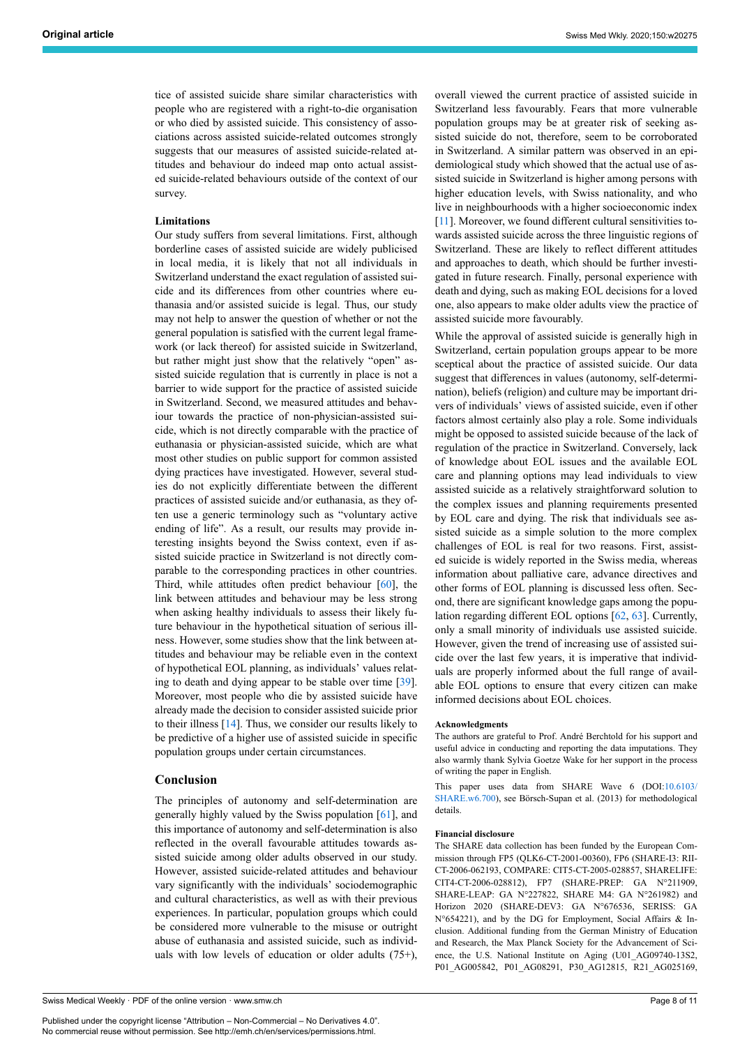tice of assisted suicide share similar characteristics with people who are registered with a right-to-die organisation or who died by assisted suicide. This consistency of associations across assisted suicide-related outcomes strongly suggests that our measures of assisted suicide-related attitudes and behaviour do indeed map onto actual assisted suicide-related behaviours outside of the context of our survey.

#### **Limitations**

Our study suffers from several limitations. First, although borderline cases of assisted suicide are widely publicised in local media, it is likely that not all individuals in Switzerland understand the exact regulation of assisted suicide and its differences from other countries where euthanasia and/or assisted suicide is legal. Thus, our study may not help to answer the question of whether or not the general population is satisfied with the current legal framework (or lack thereof) for assisted suicide in Switzerland, but rather might just show that the relatively "open" assisted suicide regulation that is currently in place is not a barrier to wide support for the practice of assisted suicide in Switzerland. Second, we measured attitudes and behaviour towards the practice of non-physician-assisted suicide, which is not directly comparable with the practice of euthanasia or physician-assisted suicide, which are what most other studies on public support for common assisted dying practices have investigated. However, several studies do not explicitly differentiate between the different practices of assisted suicide and/or euthanasia, as they often use a generic terminology such as "voluntary active ending of life". As a result, our results may provide interesting insights beyond the Swiss context, even if assisted suicide practice in Switzerland is not directly comparable to the corresponding practices in other countries. Third, while attitudes often predict behaviour  $[60]$  $[60]$ , the link between attitudes and behaviour may be less strong when asking healthy individuals to assess their likely future behaviour in the hypothetical situation of serious illness. However, some studies show that the link between attitudes and behaviour may be reliable even in the context of hypothetical EOL planning, as individuals' values relating to death and dying appear to be stable over time [[39\]](#page-8-32). Moreover, most people who die by assisted suicide have already made the decision to consider assisted suicide prior to their illness [\[14](#page-8-38)]. Thus, we consider our results likely to be predictive of a higher use of assisted suicide in specific population groups under certain circumstances.

#### **Conclusion**

The principles of autonomy and self-determination are generally highly valued by the Swiss population [\[61](#page-9-15)], and this importance of autonomy and self-determination is also reflected in the overall favourable attitudes towards assisted suicide among older adults observed in our study. However, assisted suicide-related attitudes and behaviour vary significantly with the individuals' sociodemographic and cultural characteristics, as well as with their previous experiences. In particular, population groups which could be considered more vulnerable to the misuse or outright abuse of euthanasia and assisted suicide, such as individuals with low levels of education or older adults (75+),

Published under the copyright license "Attribution – Non-Commercial – No Derivatives 4.0". No commercial reuse without permission. See http://emh.ch/en/services/permissions.html.

overall viewed the current practice of assisted suicide in Switzerland less favourably. Fears that more vulnerable population groups may be at greater risk of seeking assisted suicide do not, therefore, seem to be corroborated in Switzerland. A similar pattern was observed in an epidemiological study which showed that the actual use of assisted suicide in Switzerland is higher among persons with higher education levels, with Swiss nationality, and who live in neighbourhoods with a higher socioeconomic index [\[11\]](#page-8-39). Moreover, we found different cultural sensitivities towards assisted suicide across the three linguistic regions of Switzerland. These are likely to reflect different attitudes and approaches to death, which should be further investigated in future research. Finally, personal experience with death and dying, such as making EOL decisions for a loved one, also appears to make older adults view the practice of assisted suicide more favourably.

While the approval of assisted suicide is generally high in Switzerland, certain population groups appear to be more sceptical about the practice of assisted suicide. Our data suggest that differences in values (autonomy, self-determination), beliefs (religion) and culture may be important drivers of individuals' views of assisted suicide, even if other factors almost certainly also play a role. Some individuals might be opposed to assisted suicide because of the lack of regulation of the practice in Switzerland. Conversely, lack of knowledge about EOL issues and the available EOL care and planning options may lead individuals to view assisted suicide as a relatively straightforward solution to the complex issues and planning requirements presented by EOL care and dying. The risk that individuals see assisted suicide as a simple solution to the more complex challenges of EOL is real for two reasons. First, assisted suicide is widely reported in the Swiss media, whereas information about palliative care, advance directives and other forms of EOL planning is discussed less often. Second, there are significant knowledge gaps among the population regarding different EOL options [[62,](#page-9-16) [63](#page-9-17)]. Currently, only a small minority of individuals use assisted suicide. However, given the trend of increasing use of assisted suicide over the last few years, it is imperative that individuals are properly informed about the full range of available EOL options to ensure that every citizen can make informed decisions about EOL choices.

#### **Acknowledgments**

The authors are grateful to Prof. André Berchtold for his support and useful advice in conducting and reporting the data imputations. They also warmly thank Sylvia Goetze Wake for her support in the process of writing the paper in English.

This paper uses data from SHARE Wave 6 (DOI:[10.6103/](S:/EMH%20Daten/Swiss%20Medical%20Weekly/SMW%20Manuskripte%20erschienen/SMW%20f%C3%BCr%20EvMa%20Ablage/20275%20EM%2020-00014%20Original%20article/20275/en/10.6103/SHARE.w6.700) [SHARE.w6.700\)](S:/EMH%20Daten/Swiss%20Medical%20Weekly/SMW%20Manuskripte%20erschienen/SMW%20f%C3%BCr%20EvMa%20Ablage/20275%20EM%2020-00014%20Original%20article/20275/en/10.6103/SHARE.w6.700), see Börsch-Supan et al. (2013) for methodological details.

#### **Financial disclosure**

The SHARE data collection has been funded by the European Commission through FP5 (QLK6-CT-2001-00360), FP6 (SHARE-I3: RII-CT-2006-062193, COMPARE: CIT5-CT-2005-028857, SHARELIFE: CIT4-CT-2006-028812), FP7 (SHARE-PREP: GA N°211909, SHARE-LEAP: GA N°227822, SHARE M4: GA N°261982) and Horizon 2020 (SHARE-DEV3: GA N°676536, SERISS: GA N°654221), and by the DG for Employment, Social Affairs & Inclusion. Additional funding from the German Ministry of Education and Research, the Max Planck Society for the Advancement of Science, the U.S. National Institute on Aging (U01\_AG09740-13S2, P01\_AG005842, P01\_AG08291, P30\_AG12815, R21\_AG025169,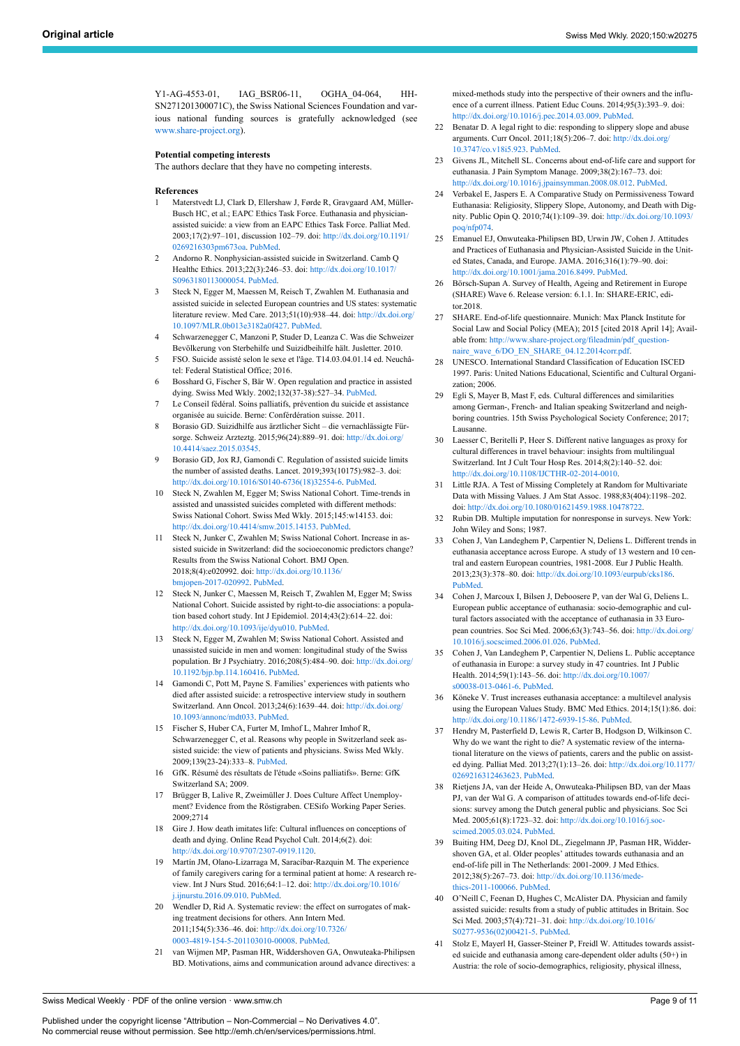Y1-AG-4553-01, IAG\_BSR06-11, OGHA\_04-064, HH-SN271201300071C), the Swiss National Sciences Foundation and various national funding sources is gratefully acknowledged (see [www.share-project.org](http://www.share-project.org/)).

#### <span id="page-8-18"></span><span id="page-8-17"></span>**Potential competing interests**

The authors declare that they have no competing interests.

#### <span id="page-8-19"></span><span id="page-8-0"></span>**References**

- 1 Materstvedt LJ, Clark D, Ellershaw J, Førde R, Gravgaard AM, Müller-Busch HC, et al.; EAPC Ethics Task Force. Euthanasia and physicianassisted suicide: a view from an EAPC Ethics Task Force. Palliat Med. 2003;17(2):97–101, discussion 102–79. doi: [http://dx.doi.org/10.1191/](http://dx.doi.org/10.1191/0269216303pm673oa) [0269216303pm673oa.](http://dx.doi.org/10.1191/0269216303pm673oa) [PubMed](http://www.ncbi.nlm.nih.gov/entrez/query.fcgi?cmd=Retrieve&db=PubMed&list_uids=12701848&dopt=Abstract).
- <span id="page-8-20"></span><span id="page-8-1"></span>2 Andorno R. Nonphysician-assisted suicide in Switzerland. Camb Q Healthc Ethics. 2013;22(3):246–53. doi: [http://dx.doi.org/10.1017/](http://dx.doi.org/10.1017/S0963180113000054) [S0963180113000054](http://dx.doi.org/10.1017/S0963180113000054). [PubMed.](http://www.ncbi.nlm.nih.gov/entrez/query.fcgi?cmd=Retrieve&db=PubMed&list_uids=23632255&dopt=Abstract)
- <span id="page-8-21"></span><span id="page-8-2"></span>3 Steck N, Egger M, Maessen M, Reisch T, Zwahlen M. Euthanasia and assisted suicide in selected European countries and US states: systematic literature review. Med Care. 2013;51(10):938–44. doi: [http://dx.doi.org/](http://dx.doi.org/10.1097/MLR.0b013e3182a0f427) [10.1097/MLR.0b013e3182a0f427](http://dx.doi.org/10.1097/MLR.0b013e3182a0f427). [PubMed](http://www.ncbi.nlm.nih.gov/entrez/query.fcgi?cmd=Retrieve&db=PubMed&list_uids=23929402&dopt=Abstract).
- <span id="page-8-22"></span><span id="page-8-3"></span>4 Schwarzenegger C, Manzoni P, Studer D, Leanza C. Was die Schweizer Bevölkerung von Sterbehilfe und Suizidbeihilfe hält. Jusletter. 2010.
- <span id="page-8-23"></span><span id="page-8-4"></span>5 FSO. Suicide assisté selon le sexe et l'âge. T14.03.04.01.14 ed. Neuchâtel: Federal Statistical Office; 2016.
- <span id="page-8-5"></span>6 Bosshard G, Fischer S, Bär W. Open regulation and practice in assisted dying. Swiss Med Wkly. 2002;132(37-38):527–34. [PubMed.](http://www.ncbi.nlm.nih.gov/entrez/query.fcgi?cmd=Retrieve&db=PubMed&list_uids=12508137&dopt=Abstract)
- <span id="page-8-24"></span><span id="page-8-6"></span>Le Conseil fédéral. Soins palliatifs, prévention du suicide et assistance organisée au suicide. Berne: Conférdération suisse. 2011.
- <span id="page-8-25"></span><span id="page-8-7"></span>8 Borasio GD. Suizidhilfe aus ärztlicher Sicht – die vernachlässigte Fürsorge. Schweiz Arzteztg. 2015;96(24):889–91. doi: [http://dx.doi.org/](http://dx.doi.org/10.4414/saez.2015.03545) [10.4414/saez.2015.03545](http://dx.doi.org/10.4414/saez.2015.03545).
- <span id="page-8-8"></span>9 Borasio GD, Jox RJ, Gamondi C. Regulation of assisted suicide limits the number of assisted deaths. Lancet. 2019;393(10175):982–3. doi: [http://dx.doi.org/10.1016/S0140-6736\(18\)32554-6](http://dx.doi.org/10.1016/S0140-6736(18)32554-6). [PubMed](http://www.ncbi.nlm.nih.gov/entrez/query.fcgi?cmd=Retrieve&db=PubMed&list_uids=30797600&dopt=Abstract).
- <span id="page-8-26"></span><span id="page-8-9"></span>10 Steck N, Zwahlen M, Egger M; Swiss National Cohort. Time-trends in assisted and unassisted suicides completed with different methods: Swiss National Cohort. Swiss Med Wkly. 2015;145:w14153. doi: <http://dx.doi.org/10.4414/smw.2015.14153>. [PubMed.](http://www.ncbi.nlm.nih.gov/entrez/query.fcgi?cmd=Retrieve&db=PubMed&list_uids=26099005&dopt=Abstract)
- <span id="page-8-39"></span><span id="page-8-28"></span><span id="page-8-27"></span>11 Steck N, Junker C, Zwahlen M; Swiss National Cohort. Increase in assisted suicide in Switzerland: did the socioeconomic predictors change? Results from the Swiss National Cohort. BMJ Open. 2018;8(4):e020992. doi: [http://dx.doi.org/10.1136/](http://dx.doi.org/10.1136/bmjopen-2017-020992) [bmjopen-2017-020992.](http://dx.doi.org/10.1136/bmjopen-2017-020992) [PubMed](http://www.ncbi.nlm.nih.gov/entrez/query.fcgi?cmd=Retrieve&db=PubMed&list_uids=29666138&dopt=Abstract).
- <span id="page-8-37"></span><span id="page-8-33"></span>12 Steck N, Junker C, Maessen M, Reisch T, Zwahlen M, Egger M; Swiss National Cohort. Suicide assisted by right-to-die associations: a population based cohort study. Int J Epidemiol. 2014;43(2):614–22. doi: <http://dx.doi.org/10.1093/ije/dyu010>. [PubMed](http://www.ncbi.nlm.nih.gov/entrez/query.fcgi?cmd=Retrieve&db=PubMed&list_uids=24550250&dopt=Abstract).
- <span id="page-8-36"></span>13 Steck N, Egger M, Zwahlen M; Swiss National Cohort. Assisted and unassisted suicide in men and women: longitudinal study of the Swiss population. Br J Psychiatry. 2016;208(5):484–90. doi: [http://dx.doi.org/](http://dx.doi.org/10.1192/bjp.bp.114.160416) [10.1192/bjp.bp.114.160416](http://dx.doi.org/10.1192/bjp.bp.114.160416). [PubMed](http://www.ncbi.nlm.nih.gov/entrez/query.fcgi?cmd=Retrieve&db=PubMed&list_uids=26743810&dopt=Abstract).
- <span id="page-8-38"></span><span id="page-8-29"></span>14 Gamondi C, Pott M, Payne S. Families' experiences with patients who died after assisted suicide: a retrospective interview study in southern Switzerland. Ann Oncol. 2013;24(6):1639–44. doi: [http://dx.doi.org/](http://dx.doi.org/10.1093/annonc/mdt033) [10.1093/annonc/mdt033.](http://dx.doi.org/10.1093/annonc/mdt033) [PubMed.](http://www.ncbi.nlm.nih.gov/entrez/query.fcgi?cmd=Retrieve&db=PubMed&list_uids=23446094&dopt=Abstract)
- <span id="page-8-30"></span><span id="page-8-10"></span>15 Fischer S, Huber CA, Furter M, Imhof L, Mahrer Imhof R, Schwarzenegger C, et al. Reasons why people in Switzerland seek assisted suicide: the view of patients and physicians. Swiss Med Wkly. 2009;139(23-24):333–8. [PubMed.](http://www.ncbi.nlm.nih.gov/entrez/query.fcgi?cmd=Retrieve&db=PubMed&list_uids=19529991&dopt=Abstract)
- <span id="page-8-31"></span><span id="page-8-11"></span>16 GfK. Résumé des résultats de l'étude «Soins palliatifs». Berne: GfK Switzerland SA; 2009.
- <span id="page-8-12"></span>17 Brügger B, Lalive R, Zweimüller J. Does Culture Affect Unemployment? Evidence from the Röstigraben. CESifo Working Paper Series. 2009;2714
- <span id="page-8-32"></span><span id="page-8-13"></span>18 Gire J. How death imitates life: Cultural influences on conceptions of death and dying. Online Read Psychol Cult. 2014;6(2). doi: [http://dx.doi.org/10.9707/2307-0919.1120.](http://dx.doi.org/10.9707/2307-0919.1120)
- <span id="page-8-14"></span>19 Martín JM, Olano-Lizarraga M, Saracíbar-Razquin M. The experience of family caregivers caring for a terminal patient at home: A research review. Int J Nurs Stud. 2016;64:1–12. doi: [http://dx.doi.org/10.1016/](http://dx.doi.org/10.1016/j.ijnurstu.2016.09.010) [j.ijnurstu.2016.09.010.](http://dx.doi.org/10.1016/j.ijnurstu.2016.09.010) [PubMed.](http://www.ncbi.nlm.nih.gov/entrez/query.fcgi?cmd=Retrieve&db=PubMed&list_uids=27657662&dopt=Abstract)
- <span id="page-8-34"></span><span id="page-8-15"></span>20 Wendler D, Rid A. Systematic review: the effect on surrogates of making treatment decisions for others. Ann Intern Med. 2011;154(5):336–46. doi: [http://dx.doi.org/10.7326/](http://dx.doi.org/10.7326/0003-4819-154-5-201103010-00008) [0003-4819-154-5-201103010-00008.](http://dx.doi.org/10.7326/0003-4819-154-5-201103010-00008) [PubMed.](http://www.ncbi.nlm.nih.gov/entrez/query.fcgi?cmd=Retrieve&db=PubMed&list_uids=21357911&dopt=Abstract)
- <span id="page-8-35"></span><span id="page-8-16"></span>21 van Wijmen MP, Pasman HR, Widdershoven GA, Onwuteaka-Philipsen BD. Motivations, aims and communication around advance directives: a

mixed-methods study into the perspective of their owners and the influence of a current illness. Patient Educ Couns. 2014;95(3):393–9. doi: <http://dx.doi.org/10.1016/j.pec.2014.03.009>. [PubMed](http://www.ncbi.nlm.nih.gov/entrez/query.fcgi?cmd=Retrieve&db=PubMed&list_uids=24726784&dopt=Abstract).

- 22 Benatar D. A legal right to die: responding to slippery slope and abuse arguments. Curr Oncol. 2011;18(5):206–7. doi: [http://dx.doi.org/](http://dx.doi.org/10.3747/co.v18i5.923) [10.3747/co.v18i5.923](http://dx.doi.org/10.3747/co.v18i5.923). [PubMed.](http://www.ncbi.nlm.nih.gov/entrez/query.fcgi?cmd=Retrieve&db=PubMed&list_uids=21980245&dopt=Abstract)
- 23 Givens JL, Mitchell SL. Concerns about end-of-life care and support for euthanasia. J Pain Symptom Manage. 2009;38(2):167–73. doi: <http://dx.doi.org/10.1016/j.jpainsymman.2008.08.012>. [PubMed](http://www.ncbi.nlm.nih.gov/entrez/query.fcgi?cmd=Retrieve&db=PubMed&list_uids=19345554&dopt=Abstract).
- 24 Verbakel E, Jaspers E. A Comparative Study on Permissiveness Toward Euthanasia: Religiosity, Slippery Slope, Autonomy, and Death with Dignity. Public Opin Q. 2010;74(1):109–39. doi: [http://dx.doi.org/10.1093/](http://dx.doi.org/10.1093/poq/nfp074) [poq/nfp074](http://dx.doi.org/10.1093/poq/nfp074).
- 25 Emanuel EJ, Onwuteaka-Philipsen BD, Urwin JW, Cohen J. Attitudes and Practices of Euthanasia and Physician-Assisted Suicide in the United States, Canada, and Europe. JAMA. 2016;316(1):79–90. doi: <http://dx.doi.org/10.1001/jama.2016.8499>. [PubMed](http://www.ncbi.nlm.nih.gov/entrez/query.fcgi?cmd=Retrieve&db=PubMed&list_uids=27380345&dopt=Abstract).
- 26 Börsch-Supan A. Survey of Health, Ageing and Retirement in Europe (SHARE) Wave 6. Release version: 6.1.1. In: SHARE-ERIC, editor.2018.
- 27 SHARE. End-of-life questionnaire. Munich: Max Planck Institute for Social Law and Social Policy (MEA); 2015 [cited 2018 April 14]; Available from: [http://www.share-project.org/fileadmin/pdf\\_question](http://www.share-project.org/fileadmin/pdf_questionnaire_wave_6/DO_EN_SHARE_04.12.2014corr.pdf)[naire\\_wave\\_6/DO\\_EN\\_SHARE\\_04.12.2014corr.pdf.](http://www.share-project.org/fileadmin/pdf_questionnaire_wave_6/DO_EN_SHARE_04.12.2014corr.pdf)
- 28 UNESCO. International Standard Classification of Education ISCED 1997. Paris: United Nations Educational, Scientific and Cultural Organization; 2006.
- 29 Egli S, Mayer B, Mast F, eds. Cultural differences and similarities among German-, French- and Italian speaking Switzerland and neighboring countries. 15th Swiss Psychological Society Conference; 2017; Lausanne.
- 30 Laesser C, Beritelli P, Heer S. Different native languages as proxy for cultural differences in travel behaviour: insights from multilingual Switzerland. Int J Cult Tour Hosp Res. 2014;8(2):140–52. doi: [http://dx.doi.org/10.1108/IJCTHR-02-2014-0010.](http://dx.doi.org/10.1108/IJCTHR-02-2014-0010)
- 31 Little RJA. A Test of Missing Completely at Random for Multivariate Data with Missing Values. J Am Stat Assoc. 1988;83(404):1198–202. doi: [http://dx.doi.org/10.1080/01621459.1988.10478722.](http://dx.doi.org/10.1080/01621459.1988.10478722)
- 32 Rubin DB. Multiple imputation for nonresponse in surveys. New York: John Wiley and Sons; 1987.
- 33 Cohen J, Van Landeghem P, Carpentier N, Deliens L. Different trends in euthanasia acceptance across Europe. A study of 13 western and 10 central and eastern European countries, 1981-2008. Eur J Public Health. 2013;23(3):378–80. doi: <http://dx.doi.org/10.1093/eurpub/cks186>. [PubMed](http://www.ncbi.nlm.nih.gov/entrez/query.fcgi?cmd=Retrieve&db=PubMed&list_uids=23275485&dopt=Abstract).
- 34 Cohen J, Marcoux I, Bilsen J, Deboosere P, van der Wal G, Deliens L. European public acceptance of euthanasia: socio-demographic and cultural factors associated with the acceptance of euthanasia in 33 European countries. Soc Sci Med. 2006;63(3):743–56. doi: [http://dx.doi.org/](http://dx.doi.org/10.1016/j.socscimed.2006.01.026) [10.1016/j.socscimed.2006.01.026](http://dx.doi.org/10.1016/j.socscimed.2006.01.026). [PubMed](http://www.ncbi.nlm.nih.gov/entrez/query.fcgi?cmd=Retrieve&db=PubMed&list_uids=16537097&dopt=Abstract).
- 35 Cohen J, Van Landeghem P, Carpentier N, Deliens L. Public acceptance of euthanasia in Europe: a survey study in 47 countries. Int J Public Health. 2014;59(1):143–56. doi: [http://dx.doi.org/10.1007/](http://dx.doi.org/10.1007/s00038-013-0461-6) [s00038-013-0461-6](http://dx.doi.org/10.1007/s00038-013-0461-6). [PubMed.](http://www.ncbi.nlm.nih.gov/entrez/query.fcgi?cmd=Retrieve&db=PubMed&list_uids=23558505&dopt=Abstract)
- 36 Köneke V. Trust increases euthanasia acceptance: a multilevel analysis using the European Values Study. BMC Med Ethics. 2014;15(1):86. doi: [http://dx.doi.org/10.1186/1472-6939-15-86.](http://dx.doi.org/10.1186/1472-6939-15-86) [PubMed.](http://www.ncbi.nlm.nih.gov/entrez/query.fcgi?cmd=Retrieve&db=PubMed&list_uids=25528457&dopt=Abstract)
- 37 Hendry M, Pasterfield D, Lewis R, Carter B, Hodgson D, Wilkinson C. Why do we want the right to die? A systematic review of the international literature on the views of patients, carers and the public on assisted dying. Palliat Med. 2013;27(1):13–26. doi: [http://dx.doi.org/10.1177/](http://dx.doi.org/10.1177/0269216312463623) [0269216312463623](http://dx.doi.org/10.1177/0269216312463623). [PubMed.](http://www.ncbi.nlm.nih.gov/entrez/query.fcgi?cmd=Retrieve&db=PubMed&list_uids=23128904&dopt=Abstract)
- 38 Rietjens JA, van der Heide A, Onwuteaka-Philipsen BD, van der Maas PJ, van der Wal G. A comparison of attitudes towards end-of-life decisions: survey among the Dutch general public and physicians. Soc Sci Med. 2005;61(8):1723–32. doi: [http://dx.doi.org/10.1016/j.soc](http://dx.doi.org/10.1016/j.socscimed.2005.03.024)[scimed.2005.03.024.](http://dx.doi.org/10.1016/j.socscimed.2005.03.024) [PubMed](http://www.ncbi.nlm.nih.gov/entrez/query.fcgi?cmd=Retrieve&db=PubMed&list_uids=16029774&dopt=Abstract).
- 39 Buiting HM, Deeg DJ, Knol DL, Ziegelmann JP, Pasman HR, Widdershoven GA, et al. Older peoples' attitudes towards euthanasia and an end-of-life pill in The Netherlands: 2001-2009. J Med Ethics. 2012;38(5):267–73. doi: [http://dx.doi.org/10.1136/mede](http://dx.doi.org/10.1136/medethics-2011-100066)[thics-2011-100066.](http://dx.doi.org/10.1136/medethics-2011-100066) [PubMed](http://www.ncbi.nlm.nih.gov/entrez/query.fcgi?cmd=Retrieve&db=PubMed&list_uids=22240587&dopt=Abstract).
- 40 O'Neill C, Feenan D, Hughes C, McAlister DA. Physician and family assisted suicide: results from a study of public attitudes in Britain. Soc Sci Med. 2003;57(4):721–31. doi: [http://dx.doi.org/10.1016/](http://dx.doi.org/10.1016/S0277-9536(02)00421-5) [S0277-9536\(02\)00421-5.](http://dx.doi.org/10.1016/S0277-9536(02)00421-5) [PubMed](http://www.ncbi.nlm.nih.gov/entrez/query.fcgi?cmd=Retrieve&db=PubMed&list_uids=12821019&dopt=Abstract).
- 41 Stolz E, Mayerl H, Gasser-Steiner P, Freidl W. Attitudes towards assisted suicide and euthanasia among care-dependent older adults (50+) in Austria: the role of socio-demographics, religiosity, physical illness,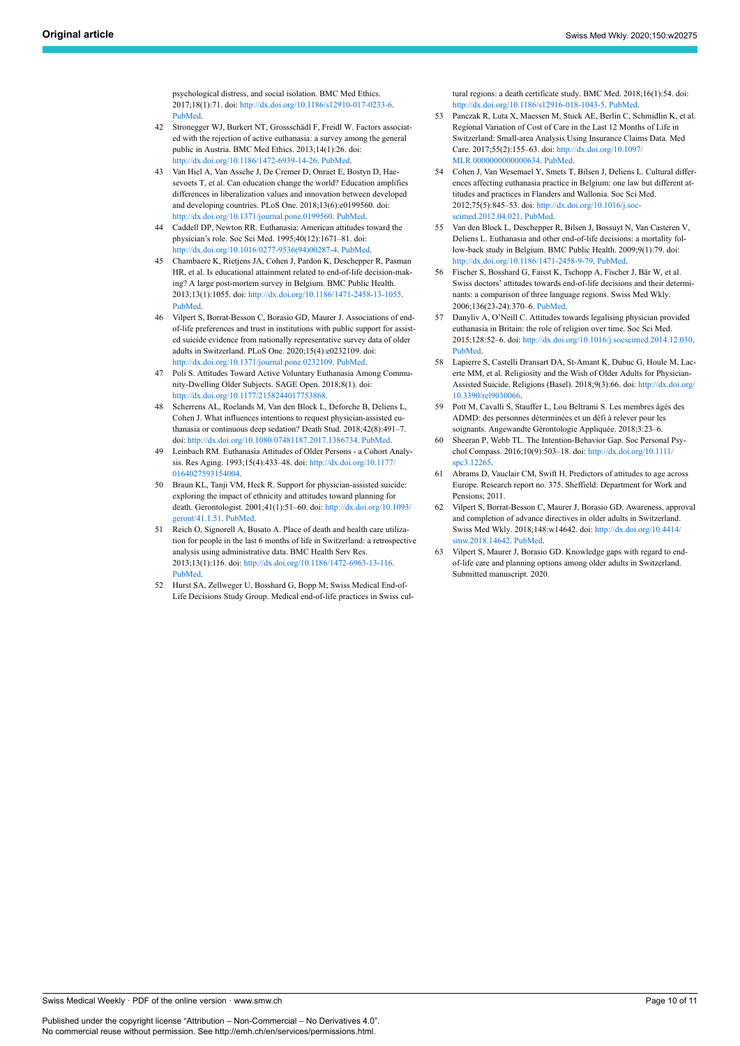psychological distress, and social isolation. BMC Med Ethics. 2017;18(1):71. doi: [http://dx.doi.org/10.1186/s12910-017-0233-6.](http://dx.doi.org/10.1186/s12910-017-0233-6) [PubMed.](http://www.ncbi.nlm.nih.gov/entrez/query.fcgi?cmd=Retrieve&db=PubMed&list_uids=29212490&dopt=Abstract)

- <span id="page-9-11"></span><span id="page-9-0"></span>42 Stronegger WJ, Burkert NT, Grossschädl F, Freidl W. Factors associated with the rejection of active euthanasia: a survey among the general public in Austria. BMC Med Ethics. 2013;14(1):26. doi: <http://dx.doi.org/10.1186/1472-6939-14-26>. [PubMed.](http://www.ncbi.nlm.nih.gov/entrez/query.fcgi?cmd=Retrieve&db=PubMed&list_uids=23826902&dopt=Abstract)
- <span id="page-9-1"></span>43 Van Hiel A, Van Assche J, De Cremer D, Onraet E, Bostyn D, Haesevoets T, et al. Can education change the world? Education amplifies differences in liberalization values and innovation between developed and developing countries. PLoS One. 2018;13(6):e0199560. doi: [http://dx.doi.org/10.1371/journal.pone.0199560.](http://dx.doi.org/10.1371/journal.pone.0199560) [PubMed.](http://www.ncbi.nlm.nih.gov/entrez/query.fcgi?cmd=Retrieve&db=PubMed&list_uids=29928058&dopt=Abstract)
- <span id="page-9-2"></span>44 Caddell DP, Newton RR. Euthanasia: American attitudes toward the physician's role. Soc Sci Med. 1995;40(12):1671–81. doi: [http://dx.doi.org/10.1016/0277-9536\(94\)00287-4](http://dx.doi.org/10.1016/0277-9536(94)00287-4). [PubMed.](http://www.ncbi.nlm.nih.gov/entrez/query.fcgi?cmd=Retrieve&db=PubMed&list_uids=7660180&dopt=Abstract)
- <span id="page-9-12"></span><span id="page-9-3"></span>45 Chambaere K, Rietjens JA, Cohen J, Pardon K, Deschepper R, Pasman HR, et al. Is educational attainment related to end-of-life decision-making? A large post-mortem survey in Belgium. BMC Public Health. 2013;13(1):1055. doi: <http://dx.doi.org/10.1186/1471-2458-13-1055>. [PubMed.](http://www.ncbi.nlm.nih.gov/entrez/query.fcgi?cmd=Retrieve&db=PubMed&list_uids=24207110&dopt=Abstract)
- <span id="page-9-4"></span>46 Vilpert S, Borrat-Besson C, Borasio GD, Maurer J. Associations of endof-life preferences and trust in institutions with public support for assisted suicide evidence from nationally representative survey data of older adults in Switzerland. PLoS One. 2020;15(4):e0232109. doi: [http://dx.doi.org/10.1371/journal.pone.0232109.](http://dx.doi.org/10.1371/journal.pone.0232109) [PubMed.](http://www.ncbi.nlm.nih.gov/entrez/query.fcgi?cmd=Retrieve&db=PubMed&list_uids=32324815&dopt=Abstract)
- <span id="page-9-13"></span><span id="page-9-5"></span>47 Poli S. Attitudes Toward Active Voluntary Euthanasia Among Community-Dwelling Older Subjects. SAGE Open. 2018;8(1). doi: <http://dx.doi.org/10.1177/2158244017753868>.
- <span id="page-9-6"></span>48 Scherrens AL, Roelands M, Van den Block L, Deforche B, Deliens L, Cohen J. What influences intentions to request physician-assisted euthanasia or continuous deep sedation? Death Stud. 2018;42(8):491–7. doi: [http://dx.doi.org/10.1080/07481187.2017.1386734.](http://dx.doi.org/10.1080/07481187.2017.1386734) [PubMed](http://www.ncbi.nlm.nih.gov/entrez/query.fcgi?cmd=Retrieve&db=PubMed&list_uids=29173079&dopt=Abstract).
- <span id="page-9-14"></span><span id="page-9-7"></span>49 Leinbach RM. Euthanasia Attitudes of Older Persons - a Cohort Analysis. Res Aging. 1993;15(4):433–48. doi: [http://dx.doi.org/10.1177/](http://dx.doi.org/10.1177/0164027593154004) [0164027593154004.](http://dx.doi.org/10.1177/0164027593154004)
- <span id="page-9-15"></span><span id="page-9-8"></span>50 Braun KL, Tanji VM, Heck R. Support for physician-assisted suicide: exploring the impact of ethnicity and attitudes toward planning for death. Gerontologist. 2001;41(1):51–60. doi: [http://dx.doi.org/10.1093/](http://dx.doi.org/10.1093/geront/41.1.51) [geront/41.1.51](http://dx.doi.org/10.1093/geront/41.1.51). [PubMed.](http://www.ncbi.nlm.nih.gov/entrez/query.fcgi?cmd=Retrieve&db=PubMed&list_uids=11220815&dopt=Abstract)
- <span id="page-9-17"></span><span id="page-9-16"></span><span id="page-9-9"></span>51 Reich O, Signorell A, Busato A. Place of death and health care utilization for people in the last 6 months of life in Switzerland: a retrospective analysis using administrative data. BMC Health Serv Res. 2013;13(1):116. doi: [http://dx.doi.org/10.1186/1472-6963-13-116.](http://dx.doi.org/10.1186/1472-6963-13-116) [PubMed.](http://www.ncbi.nlm.nih.gov/entrez/query.fcgi?cmd=Retrieve&db=PubMed&list_uids=23530717&dopt=Abstract)
- <span id="page-9-10"></span>52 Hurst SA, Zellweger U, Bosshard G, Bopp M; Swiss Medical End-of-Life Decisions Study Group. Medical end-of-life practices in Swiss cul-

tural regions: a death certificate study. BMC Med. 2018;16(1):54. doi: [http://dx.doi.org/10.1186/s12916-018-1043-5.](http://dx.doi.org/10.1186/s12916-018-1043-5) [PubMed.](http://www.ncbi.nlm.nih.gov/entrez/query.fcgi?cmd=Retrieve&db=PubMed&list_uids=29673342&dopt=Abstract)

- 53 Panczak R, Luta X, Maessen M, Stuck AE, Berlin C, Schmidlin K, et al. Regional Variation of Cost of Care in the Last 12 Months of Life in Switzerland: Small-area Analysis Using Insurance Claims Data. Med Care. 2017;55(2):155–63. doi: [http://dx.doi.org/10.1097/](http://dx.doi.org/10.1097/MLR.0000000000000634) [MLR.0000000000000634.](http://dx.doi.org/10.1097/MLR.0000000000000634) [PubMed.](http://www.ncbi.nlm.nih.gov/entrez/query.fcgi?cmd=Retrieve&db=PubMed&list_uids=27579912&dopt=Abstract)
- 54 Cohen J, Van Wesemael Y, Smets T, Bilsen J, Deliens L. Cultural differences affecting euthanasia practice in Belgium: one law but different attitudes and practices in Flanders and Wallonia. Soc Sci Med. 2012;75(5):845-53. doi: http://dx.doi.org/10.1016/j.soc [scimed.2012.04.021.](http://dx.doi.org/10.1016/j.socscimed.2012.04.021) [PubMed](http://www.ncbi.nlm.nih.gov/entrez/query.fcgi?cmd=Retrieve&db=PubMed&list_uids=22682367&dopt=Abstract).
- 55 Van den Block L, Deschepper R, Bilsen J, Bossuyt N, Van Casteren V, Deliens L. Euthanasia and other end-of-life decisions: a mortality follow-back study in Belgium. BMC Public Health. 2009;9(1):79. doi: <http://dx.doi.org/10.1186/1471-2458-9-79>. [PubMed.](http://www.ncbi.nlm.nih.gov/entrez/query.fcgi?cmd=Retrieve&db=PubMed&list_uids=19272153&dopt=Abstract)
- 56 Fischer S, Bosshard G, Faisst K, Tschopp A, Fischer J, Bär W, et al. Swiss doctors' attitudes towards end-of-life decisions and their determinants: a comparison of three language regions. Swiss Med Wkly. 2006;136(23-24):370–6. [PubMed.](http://www.ncbi.nlm.nih.gov/entrez/query.fcgi?cmd=Retrieve&db=PubMed&list_uids=16847759&dopt=Abstract)
- 57 Danyliv A, O'Neill C. Attitudes towards legalising physician provided euthanasia in Britain: the role of religion over time. Soc Sci Med. 2015;128:52–6. doi: <http://dx.doi.org/10.1016/j.socscimed.2014.12.030>. [PubMed](http://www.ncbi.nlm.nih.gov/entrez/query.fcgi?cmd=Retrieve&db=PubMed&list_uids=25589032&dopt=Abstract).
- 58 Lapierre S, Castelli Dransart DA, St-Amant K, Dubuc G, Houle M, Lacerte MM, et al. Religiosity and the Wish of Older Adults for Physician-Assisted Suicide. Religions (Basel). 2018;9(3):66. doi: [http://dx.doi.org/](http://dx.doi.org/10.3390/rel9030066) [10.3390/rel9030066.](http://dx.doi.org/10.3390/rel9030066)
- 59 Pott M, Cavalli S, Stauffer L, Lou Beltrami S. Les membres âgés des ADMD: des personnes déterminées et un défi à relever pour les soignants. Angewandte Gérontologie Appliquée. 2018;3:23–6.
- 60 Sheeran P, Webb TL. The Intention-Behavior Gap. Soc Personal Psychol Compass. 2016;10(9):503–18. doi: [http://dx.doi.org/10.1111/](http://dx.doi.org/10.1111/spc3.12265) [spc3.12265](http://dx.doi.org/10.1111/spc3.12265).
- 61 Abrams D, Vauclair CM, Swift H. Predictors of attitudes to age across Europe. Research report no. 375. Sheffield: Department for Work and Pensions; 2011.
- 62 Vilpert S, Borrat-Besson C, Maurer J, Borasio GD. Awareness, approval and completion of advance directives in older adults in Switzerland. Swiss Med Wkly. 2018;148:w14642. doi: [http://dx.doi.org/10.4414/](http://dx.doi.org/10.4414/smw.2018.14642) [smw.2018.14642](http://dx.doi.org/10.4414/smw.2018.14642). [PubMed.](http://www.ncbi.nlm.nih.gov/entrez/query.fcgi?cmd=Retrieve&db=PubMed&list_uids=30141525&dopt=Abstract)
- 63 Vilpert S, Maurer J, Borasio GD. Knowledge gaps with regard to endof-life care and planning options among older adults in Switzerland. Submitted manuscript. 2020.